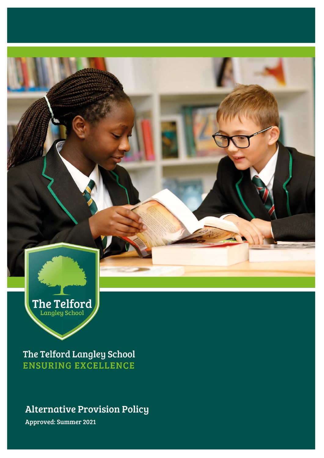

The Telford Langley School **ENSURING EXCELLENCE** 

# Alternative Provision Policy

Approved: Summer 2021 Approved: Summer 2021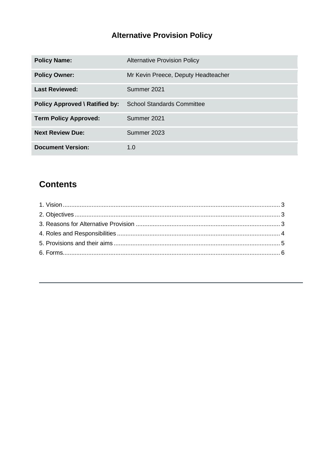# **Alternative Provision Policy**

| <b>Policy Name:</b>                   | <b>Alternative Provision Policy</b> |
|---------------------------------------|-------------------------------------|
| <b>Policy Owner:</b>                  | Mr Kevin Preece, Deputy Headteacher |
| <b>Last Reviewed:</b>                 | Summer 2021                         |
| <b>Policy Approved \ Ratified by:</b> | <b>School Standards Committee</b>   |
| <b>Term Policy Approved:</b>          | Summer 2021                         |
| <b>Next Review Due:</b>               | Summer 2023                         |
| <b>Document Version:</b>              | 1.0                                 |

# **Contents**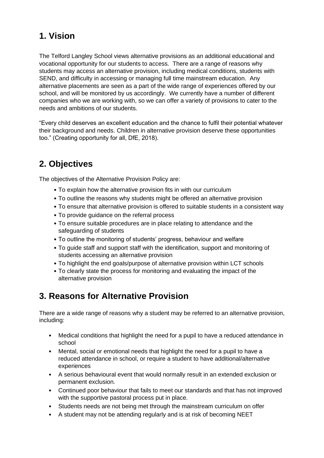# <span id="page-2-0"></span>**1. Vision**

The Telford Langley School views alternative provisions as an additional educational and vocational opportunity for our students to access. There are a range of reasons why students may access an alternative provision, including medical conditions, students with SEND, and difficulty in accessing or managing full time mainstream education. Any alternative placements are seen as a part of the wide range of experiences offered by our school, and will be monitored by us accordingly. We currently have a number of different companies who we are working with, so we can offer a variety of provisions to cater to the needs and ambitions of our students.

"Every child deserves an excellent education and the chance to fulfil their potential whatever their background and needs. Children in alternative provision deserve these opportunities too." (Creating opportunity for all, DfE, 2018).

# <span id="page-2-1"></span>**2. Objectives**

The objectives of the Alternative Provision Policy are:

- To explain how the alternative provision fits in with our curriculum
- To outline the reasons why students might be offered an alternative provision
- To ensure that alternative provision is offered to suitable students in a consistent way
- To provide guidance on the referral process
- To ensure suitable procedures are in place relating to attendance and the safeguarding of students
- To outline the monitoring of students' progress, behaviour and welfare
- To guide staff and support staff with the identification, support and monitoring of students accessing an alternative provision
- To highlight the end goals/purpose of alternative provision within LCT schools
- To clearly state the process for monitoring and evaluating the impact of the alternative provision

# <span id="page-2-2"></span>**3. Reasons for Alternative Provision**

There are a wide range of reasons why a student may be referred to an alternative provision, including:

- Medical conditions that highlight the need for a pupil to have a reduced attendance in school
- Mental, social or emotional needs that highlight the need for a pupil to have a reduced attendance in school, or require a student to have additional/alternative experiences
- A serious behavioural event that would normally result in an extended exclusion or permanent exclusion.
- Continued poor behaviour that fails to meet our standards and that has not improved with the supportive pastoral process put in place.
- Students needs are not being met through the mainstream curriculum on offer
- A student may not be attending regularly and is at risk of becoming NEET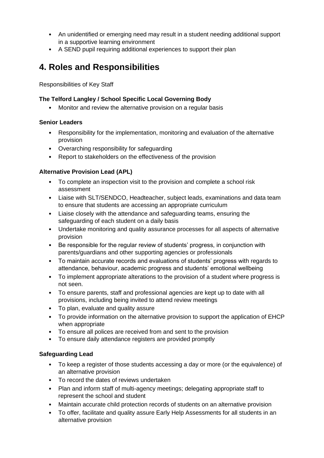- An unidentified or emerging need may result in a student needing additional support in a supportive learning environment
- A SEND pupil requiring additional experiences to support their plan

# <span id="page-3-0"></span>**4. Roles and Responsibilities**

Responsibilities of Key Staff

### **The Telford Langley / School Specific Local Governing Body**

• Monitor and review the alternative provision on a regular basis

#### **Senior Leaders**

- Responsibility for the implementation, monitoring and evaluation of the alternative provision
- Overarching responsibility for safeguarding
- Report to stakeholders on the effectiveness of the provision

#### **Alternative Provision Lead (APL)**

- To complete an inspection visit to the provision and complete a school risk assessment
- Liaise with SLT/SENDCO, Headteacher, subject leads, examinations and data team to ensure that students are accessing an appropriate curriculum
- Liaise closely with the attendance and safeguarding teams, ensuring the safeguarding of each student on a daily basis
- Undertake monitoring and quality assurance processes for all aspects of alternative provision
- Be responsible for the regular review of students' progress, in conjunction with parents/guardians and other supporting agencies or professionals
- To maintain accurate records and evaluations of students' progress with regards to attendance, behaviour, academic progress and students' emotional wellbeing
- To implement appropriate alterations to the provision of a student where progress is not seen.
- To ensure parents, staff and professional agencies are kept up to date with all provisions, including being invited to attend review meetings
- To plan, evaluate and quality assure
- To provide information on the alternative provision to support the application of EHCP when appropriate
- To ensure all polices are received from and sent to the provision
- To ensure daily attendance registers are provided promptly

#### **Safeguarding Lead**

- To keep a register of those students accessing a day or more (or the equivalence) of an alternative provision
- To record the dates of reviews undertaken
- Plan and inform staff of multi-agency meetings; delegating appropriate staff to represent the school and student
- Maintain accurate child protection records of students on an alternative provision
- To offer, facilitate and quality assure Early Help Assessments for all students in an alternative provision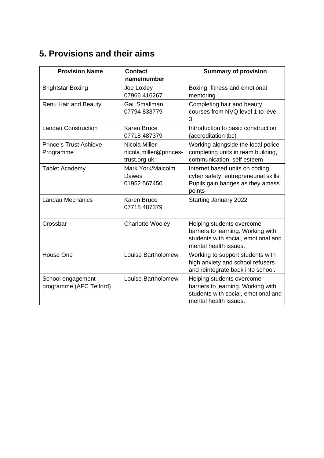# <span id="page-4-0"></span>**5. Provisions and their aims**

| <b>Provision Name</b>                        | <b>Contact</b><br>name/number                           | <b>Summary of provision</b>                                                                                                     |
|----------------------------------------------|---------------------------------------------------------|---------------------------------------------------------------------------------------------------------------------------------|
| <b>Brightstar Boxing</b>                     | Joe Loxley<br>07966 416267                              | Boxing, fitness and emotional<br>mentoring                                                                                      |
| Renu Hair and Beauty                         | <b>Gail Smallman</b><br>07794 833779                    | Completing hair and beauty<br>courses from NVQ level 1 to level<br>3                                                            |
| <b>Landau Construction</b>                   | <b>Karen Bruce</b><br>07718 487379                      | Introduction to basic construction<br>(accreditation tbc)                                                                       |
| <b>Prince's Trust Achieve</b><br>Programme   | Nicola Miller<br>nicola.miller@princes-<br>trust.org.uk | Working alongside the local police<br>completing units in team building,<br>communication, self esteem                          |
| <b>Tablet Academy</b>                        | Mark York/Malcolm<br>Dawes<br>01952 567450              | Internet based units on coding,<br>cyber safety, entrepreneurial skills.<br>Pupils gain badges as they amass<br>points          |
| <b>Landau Mechanics</b>                      | <b>Karen Bruce</b><br>07718 487379                      | <b>Starting January 2022</b>                                                                                                    |
| Crossbar                                     | <b>Charlotte Wooley</b>                                 | Helping students overcome<br>barriers to learning. Working with<br>students with social, emotional and<br>mental health issues. |
| House One                                    | Louise Bartholomew                                      | Working to support students with<br>high anxiety and school refusers<br>and reintegrate back into school.                       |
| School engagement<br>programme (AFC Telford) | Louise Bartholomew                                      | Helping students overcome<br>barriers to learning. Working with<br>students with social, emotional and<br>mental health issues. |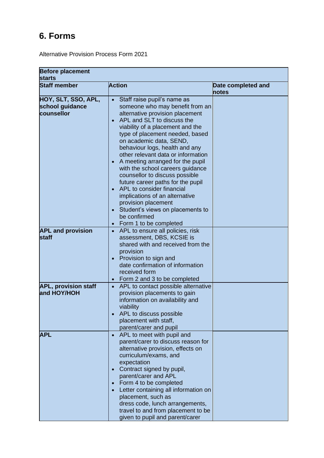# <span id="page-5-0"></span>**6. Forms**

Alternative Provision Process Form 2021

| <b>Before placement</b><br><b>starts</b>             |                                                                                                                                                                                                                                                                                                                                                                                                                                                                                                                                                                                                                                           |                             |
|------------------------------------------------------|-------------------------------------------------------------------------------------------------------------------------------------------------------------------------------------------------------------------------------------------------------------------------------------------------------------------------------------------------------------------------------------------------------------------------------------------------------------------------------------------------------------------------------------------------------------------------------------------------------------------------------------------|-----------------------------|
| <b>Staff member</b>                                  | <b>Action</b>                                                                                                                                                                                                                                                                                                                                                                                                                                                                                                                                                                                                                             | Date completed and<br>notes |
| HOY, SLT, SSO, APL,<br>school guidance<br>counsellor | Staff raise pupil's name as<br>someone who may benefit from an<br>alternative provision placement<br>APL and SLT to discuss the<br>viability of a placement and the<br>type of placement needed, based<br>on academic data, SEND,<br>behaviour logs, health and any<br>other relevant data or information<br>A meeting arranged for the pupil<br>with the school careers guidance<br>counsellor to discuss possible<br>future career paths for the pupil<br>APL to consider financial<br>implications of an alternative<br>provision placement<br>Student's views on placements to<br>be confirmed<br>Form 1 to be completed<br>$\bullet$ |                             |
| <b>APL and provision</b><br>staff                    | APL to ensure all policies, risk<br>$\bullet$<br>assessment, DBS, KCSIE is<br>shared with and received from the<br>provision<br>Provision to sign and<br>date confirmation of information<br>received form<br>Form 2 and 3 to be completed<br>$\bullet$                                                                                                                                                                                                                                                                                                                                                                                   |                             |
| <b>APL, provision staff</b><br>and HOY/HOH           | APL to contact possible alternative<br>$\bullet$<br>provision placements to gain<br>information on availability and<br>viability<br>APL to discuss possible<br>placement with staff,<br>parent/carer and pupil                                                                                                                                                                                                                                                                                                                                                                                                                            |                             |
| APL                                                  | APL to meet with pupil and<br>parent/carer to discuss reason for<br>alternative provision, effects on<br>curriculum/exams, and<br>expectation<br>Contract signed by pupil,<br>parent/carer and APL<br>Form 4 to be completed<br>$\bullet$<br>Letter containing all information on<br>placement, such as<br>dress code, lunch arrangements,<br>travel to and from placement to be<br>given to pupil and parent/carer                                                                                                                                                                                                                       |                             |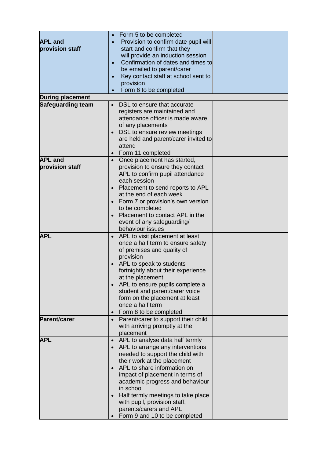|                          | Form 5 to be completed<br>$\bullet$              |  |
|--------------------------|--------------------------------------------------|--|
| <b>APL and</b>           | Provision to confirm date pupil will             |  |
| provision staff          | start and confirm that they                      |  |
|                          | will provide an induction session                |  |
|                          | Confirmation of dates and times to<br>$\bullet$  |  |
|                          | be emailed to parent/carer                       |  |
|                          |                                                  |  |
|                          | Key contact staff at school sent to<br>$\bullet$ |  |
|                          | provision                                        |  |
|                          | Form 6 to be completed<br>$\bullet$              |  |
| <b>During placement</b>  |                                                  |  |
| <b>Safeguarding team</b> | DSL to ensure that accurate                      |  |
|                          | registers are maintained and                     |  |
|                          | attendance officer is made aware                 |  |
|                          | of any placements                                |  |
|                          | DSL to ensure review meetings                    |  |
|                          | are held and parent/carer invited to             |  |
|                          | attend                                           |  |
|                          | Form 11 completed                                |  |
| <b>APL and</b>           | Once placement has started,<br>$\bullet$         |  |
| provision staff          | provision to ensure they contact                 |  |
|                          | APL to confirm pupil attendance                  |  |
|                          | each session                                     |  |
|                          | • Placement to send reports to APL               |  |
|                          | at the end of each week                          |  |
|                          | Form 7 or provision's own version                |  |
|                          | to be completed                                  |  |
|                          | Placement to contact APL in the                  |  |
|                          | event of any safeguarding/                       |  |
|                          | behaviour issues                                 |  |
| <b>APL</b>               | APL to visit placement at least<br>$\bullet$     |  |
|                          | once a half term to ensure safety                |  |
|                          | of premises and quality of                       |  |
|                          | provision                                        |  |
|                          | APL to speak to students                         |  |
|                          | fortnightly about their experience               |  |
|                          | at the placement                                 |  |
|                          | APL to ensure pupils complete a                  |  |
|                          | student and parent/carer voice                   |  |
|                          | form on the placement at least                   |  |
|                          | once a half term                                 |  |
|                          | Form 8 to be completed<br>$\bullet$              |  |
| <b>Parent/carer</b>      | Parent/carer to support their child<br>$\bullet$ |  |
|                          | with arriving promptly at the                    |  |
|                          | placement                                        |  |
| <b>APL</b>               | APL to analyse data half termly                  |  |
|                          | APL to arrange any interventions                 |  |
|                          | needed to support the child with                 |  |
|                          | their work at the placement                      |  |
|                          | APL to share information on                      |  |
|                          | impact of placement in terms of                  |  |
|                          | academic progress and behaviour                  |  |
|                          | in school                                        |  |
|                          | Half termly meetings to take place               |  |
|                          | with pupil, provision staff,                     |  |
|                          | parents/carers and APL                           |  |
|                          | Form 9 and 10 to be completed                    |  |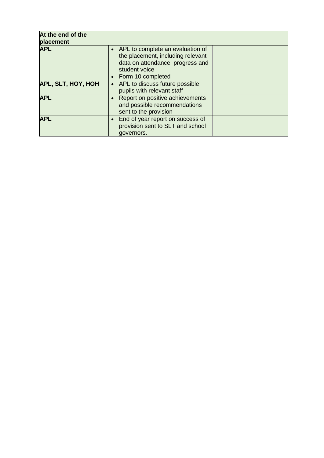| At the end of the<br>placement |                                                                                                                                                   |  |
|--------------------------------|---------------------------------------------------------------------------------------------------------------------------------------------------|--|
| <b>APL</b>                     | • APL to complete an evaluation of<br>the placement, including relevant<br>data on attendance, progress and<br>student voice<br>Form 10 completed |  |
| <b>APL, SLT, HOY, HOH</b>      | • APL to discuss future possible<br>pupils with relevant staff                                                                                    |  |
| <b>APL</b>                     | Report on positive achievements<br>and possible recommendations<br>sent to the provision                                                          |  |
| <b>APL</b>                     | End of year report on success of<br>provision sent to SLT and school<br>governors.                                                                |  |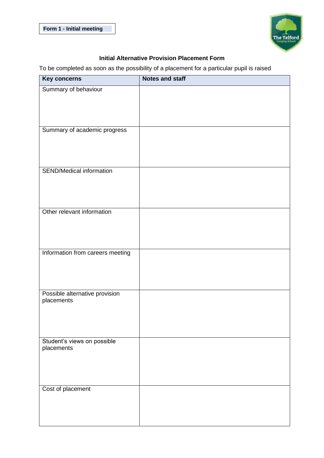

### **Initial Alternative Provision Placement Form**

To be completed as soon as the possibility of a placement for a particular pupil is raised

| <b>Key concerns</b>                          | <b>Notes and staff</b> |
|----------------------------------------------|------------------------|
| Summary of behaviour                         |                        |
|                                              |                        |
|                                              |                        |
|                                              |                        |
| Summary of academic progress                 |                        |
|                                              |                        |
|                                              |                        |
| <b>SEND/Medical information</b>              |                        |
|                                              |                        |
|                                              |                        |
|                                              |                        |
| Other relevant information                   |                        |
|                                              |                        |
|                                              |                        |
| Information from careers meeting             |                        |
|                                              |                        |
|                                              |                        |
|                                              |                        |
| Possible alternative provision<br>placements |                        |
|                                              |                        |
|                                              |                        |
|                                              |                        |
| Student's views on possible                  |                        |
| placements                                   |                        |
|                                              |                        |
|                                              |                        |
| Cost of placement                            |                        |
|                                              |                        |
|                                              |                        |
|                                              |                        |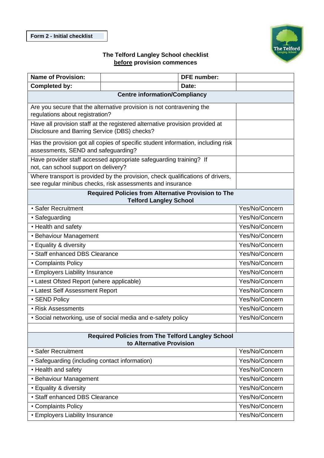

### **The Telford Langley School checklist before provision commences**

| <b>Name of Provision:</b>                                                                                |                                                                                                                                              | <b>DFE</b> number: |                |
|----------------------------------------------------------------------------------------------------------|----------------------------------------------------------------------------------------------------------------------------------------------|--------------------|----------------|
| <b>Completed by:</b>                                                                                     |                                                                                                                                              | Date:              |                |
|                                                                                                          | <b>Centre information/Compliancy</b>                                                                                                         |                    |                |
| Are you secure that the alternative provision is not contravening the<br>regulations about registration? |                                                                                                                                              |                    |                |
|                                                                                                          | Have all provision staff at the registered alternative provision provided at<br>Disclosure and Barring Service (DBS) checks?                 |                    |                |
|                                                                                                          | Has the provision got all copies of specific student information, including risk<br>assessments, SEND and safeguarding?                      |                    |                |
| not, can school support on delivery?                                                                     | Have provider staff accessed appropriate safeguarding training? If                                                                           |                    |                |
|                                                                                                          | Where transport is provided by the provision, check qualifications of drivers,<br>see regular minibus checks, risk assessments and insurance |                    |                |
|                                                                                                          | <b>Required Policies from Alternative Provision to The</b>                                                                                   |                    |                |
| • Safer Recruitment                                                                                      | <b>Telford Langley School</b>                                                                                                                |                    | Yes/No/Concern |
| • Safeguarding                                                                                           |                                                                                                                                              |                    | Yes/No/Concern |
| • Health and safety                                                                                      |                                                                                                                                              |                    | Yes/No/Concern |
|                                                                                                          |                                                                                                                                              |                    | Yes/No/Concern |
| • Behaviour Management                                                                                   |                                                                                                                                              | Yes/No/Concern     |                |
| • Equality & diversity<br>• Staff enhanced DBS Clearance                                                 |                                                                                                                                              | Yes/No/Concern     |                |
| • Complaints Policy                                                                                      |                                                                                                                                              |                    | Yes/No/Concern |
| • Employers Liability Insurance                                                                          |                                                                                                                                              |                    | Yes/No/Concern |
| • Latest Ofsted Report (where applicable)                                                                |                                                                                                                                              |                    | Yes/No/Concern |
| • Latest Self Assessment Report                                                                          |                                                                                                                                              |                    | Yes/No/Concern |
| • SEND Policy                                                                                            |                                                                                                                                              | Yes/No/Concern     |                |
| • Risk Assessments                                                                                       |                                                                                                                                              |                    | Yes/No/Concern |
| · Social networking, use of social media and e-safety policy                                             |                                                                                                                                              | Yes/No/Concern     |                |
|                                                                                                          |                                                                                                                                              |                    |                |
| <b>Required Policies from The Telford Langley School</b><br>to Alternative Provision                     |                                                                                                                                              |                    |                |
| • Safer Recruitment                                                                                      |                                                                                                                                              |                    | Yes/No/Concern |
| • Safeguarding (including contact information)                                                           |                                                                                                                                              |                    | Yes/No/Concern |
| • Health and safety                                                                                      |                                                                                                                                              | Yes/No/Concern     |                |
| • Behaviour Management                                                                                   |                                                                                                                                              |                    | Yes/No/Concern |
| • Equality & diversity                                                                                   |                                                                                                                                              |                    | Yes/No/Concern |
| • Staff enhanced DBS Clearance                                                                           |                                                                                                                                              |                    | Yes/No/Concern |
| • Complaints Policy<br>Yes/No/Concern                                                                    |                                                                                                                                              |                    |                |
| • Employers Liability Insurance                                                                          |                                                                                                                                              | Yes/No/Concern     |                |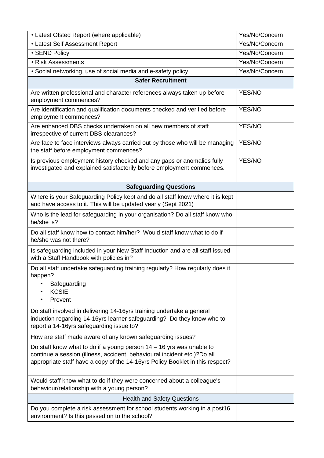| • Latest Ofsted Report (where applicable)                                                                                                                                                                                           | Yes/No/Concern |
|-------------------------------------------------------------------------------------------------------------------------------------------------------------------------------------------------------------------------------------|----------------|
| • Latest Self Assessment Report                                                                                                                                                                                                     | Yes/No/Concern |
| · SEND Policy                                                                                                                                                                                                                       | Yes/No/Concern |
| • Risk Assessments                                                                                                                                                                                                                  | Yes/No/Concern |
| · Social networking, use of social media and e-safety policy                                                                                                                                                                        | Yes/No/Concern |
| <b>Safer Recruitment</b>                                                                                                                                                                                                            |                |
| Are written professional and character references always taken up before<br>employment commences?                                                                                                                                   | YES/NO         |
| Are identification and qualification documents checked and verified before<br>employment commences?                                                                                                                                 | <b>YES/NO</b>  |
| Are enhanced DBS checks undertaken on all new members of staff<br>irrespective of current DBS clearances?                                                                                                                           | YES/NO         |
| Are face to face interviews always carried out by those who will be managing<br>the staff before employment commences?                                                                                                              | YES/NO         |
| Is previous employment history checked and any gaps or anomalies fully<br>investigated and explained satisfactorily before employment commences.                                                                                    | YES/NO         |
| <b>Safeguarding Questions</b>                                                                                                                                                                                                       |                |
| Where is your Safeguarding Policy kept and do all staff know where it is kept<br>and have access to it. This will be updated yearly (Sept 2021)                                                                                     |                |
| Who is the lead for safeguarding in your organisation? Do all staff know who<br>he/she is?                                                                                                                                          |                |
| Do all staff know how to contact him/her? Would staff know what to do if<br>he/she was not there?                                                                                                                                   |                |
| Is safeguarding included in your New Staff Induction and are all staff issued<br>with a Staff Handbook with policies in?                                                                                                            |                |
| Do all staff undertake safeguarding training regularly? How regularly does it<br>happen?                                                                                                                                            |                |
| Safeguarding<br><b>KCSIE</b>                                                                                                                                                                                                        |                |
| Prevent                                                                                                                                                                                                                             |                |
| Do staff involved in delivering 14-16yrs training undertake a general<br>induction regarding 14-16yrs learner safeguarding? Do they know who to<br>report a 14-16yrs safeguarding issue to?                                         |                |
| How are staff made aware of any known safeguarding issues?                                                                                                                                                                          |                |
| Do staff know what to do if a young person $14 - 16$ yrs was unable to<br>continue a session (illness, accident, behavioural incident etc.)?Do all<br>appropriate staff have a copy of the 14-16yrs Policy Booklet in this respect? |                |
| Would staff know what to do if they were concerned about a colleague's<br>behaviour/relationship with a young person?                                                                                                               |                |
| <b>Health and Safety Questions</b>                                                                                                                                                                                                  |                |
| Do you complete a risk assessment for school students working in a post16<br>environment? Is this passed on to the school?                                                                                                          |                |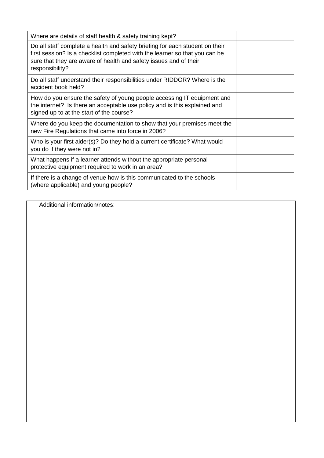| Where are details of staff health & safety training kept?                                                                                                                                                                                           |  |
|-----------------------------------------------------------------------------------------------------------------------------------------------------------------------------------------------------------------------------------------------------|--|
| Do all staff complete a health and safety briefing for each student on their<br>first session? Is a checklist completed with the learner so that you can be<br>sure that they are aware of health and safety issues and of their<br>responsibility? |  |
| Do all staff understand their responsibilities under RIDDOR? Where is the<br>accident book held?                                                                                                                                                    |  |
| How do you ensure the safety of young people accessing IT equipment and<br>the internet? Is there an acceptable use policy and is this explained and<br>signed up to at the start of the course?                                                    |  |
| Where do you keep the documentation to show that your premises meet the<br>new Fire Regulations that came into force in 2006?                                                                                                                       |  |
| Who is your first aider(s)? Do they hold a current certificate? What would<br>you do if they were not in?                                                                                                                                           |  |
| What happens if a learner attends without the appropriate personal<br>protective equipment required to work in an area?                                                                                                                             |  |
| If there is a change of venue how is this communicated to the schools<br>(where applicable) and young people?                                                                                                                                       |  |

Additional information/notes: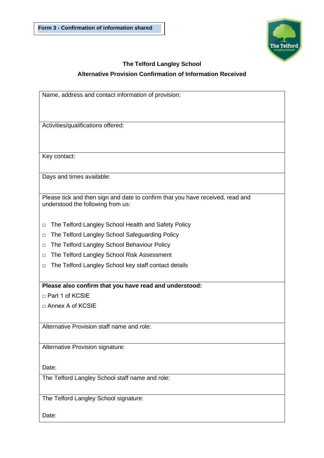

## **The Telford Langley School Alternative Provision Confirmation of Information Received**

| Name, address and contact information of provision:                            |
|--------------------------------------------------------------------------------|
|                                                                                |
|                                                                                |
| Activities/qualifications offered:                                             |
|                                                                                |
|                                                                                |
| Key contact:                                                                   |
|                                                                                |
| Days and times available:                                                      |
|                                                                                |
| Please tick and then sign and date to confirm that you have received, read and |
| understood the following from us:                                              |
|                                                                                |
| The Telford Langley School Health and Safety Policy<br>□                       |
| The Telford Langley School Safeguarding Policy<br>□                            |
| The Telford Langley School Behaviour Policy<br>$\Box$                          |
| The Telford Langley School Risk Assessment<br>$\Box$                           |
| The Telford Langley School key staff contact details<br>□                      |
|                                                                                |
| Please also confirm that you have read and understood:                         |
| □ Part 1 of KCSIE                                                              |
| □ Annex A of KCSIE                                                             |
|                                                                                |
| Alternative Provision staff name and role:                                     |
|                                                                                |
| Alternative Provision signature:                                               |
|                                                                                |
| Date:                                                                          |
| The Telford Langley School staff name and role:                                |
|                                                                                |
| The Telford Langley School signature:                                          |
|                                                                                |

Date: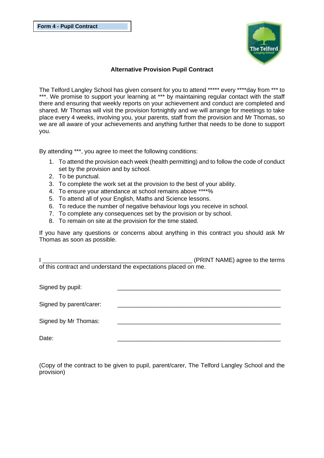

#### **Alternative Provision Pupil Contract**

The Telford Langley School has given consent for you to attend \*\*\*\*\* every \*\*\*\*day from \*\*\* to \*\*\*. We promise to support your learning at \*\*\* by maintaining regular contact with the staff there and ensuring that weekly reports on your achievement and conduct are completed and shared. Mr Thomas will visit the provision fortnightly and we will arrange for meetings to take place every 4 weeks, involving you, your parents, staff from the provision and Mr Thomas, so we are all aware of your achievements and anything further that needs to be done to support you.

By attending \*\*\*, you agree to meet the following conditions:

- 1. To attend the provision each week (health permitting) and to follow the code of conduct set by the provision and by school.
- 2. To be punctual.
- 3. To complete the work set at the provision to the best of your ability.
- 4. To ensure your attendance at school remains above \*\*\*\*%
- 5. To attend all of your English, Maths and Science lessons.
- 6. To reduce the number of negative behaviour logs you receive in school.
- 7. To complete any consequences set by the provision or by school.
- 8. To remain on site at the provision for the time stated.

If you have any questions or concerns about anything in this contract you should ask Mr Thomas as soon as possible.

I \_\_\_\_\_\_\_\_\_\_\_\_\_\_\_\_\_\_\_\_\_\_\_\_\_\_\_\_\_\_\_\_\_\_\_\_\_\_\_\_\_\_\_\_\_ (PRINT NAME) agree to the terms of this contract and understand the expectations placed on me.

| Signed by pupil:        |  |
|-------------------------|--|
| Signed by parent/carer: |  |
| Signed by Mr Thomas:    |  |
| Date:                   |  |

(Copy of the contract to be given to pupil, parent/carer, The Telford Langley School and the provision)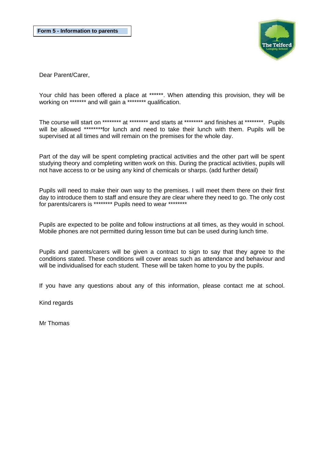

Dear Parent/Carer,

Your child has been offered a place at \*\*\*\*\*\*. When attending this provision, they will be working on \*\*\*\*\*\*\* and will gain a \*\*\*\*\*\*\*\* qualification.

The course will start on \*\*\*\*\*\*\*\*\* at \*\*\*\*\*\*\*\* and starts at \*\*\*\*\*\*\*\* and finishes at \*\*\*\*\*\*\*\*. Pupils will be allowed \*\*\*\*\*\*\*\*\*for lunch and need to take their lunch with them. Pupils will be supervised at all times and will remain on the premises for the whole day.

Part of the day will be spent completing practical activities and the other part will be spent studying theory and completing written work on this. During the practical activities, pupils will not have access to or be using any kind of chemicals or sharps. (add further detail)

Pupils will need to make their own way to the premises. I will meet them there on their first day to introduce them to staff and ensure they are clear where they need to go. The only cost for parents/carers is \*\*\*\*\*\*\*\* Pupils need to wear \*\*\*\*\*\*\*\*

Pupils are expected to be polite and follow instructions at all times, as they would in school. Mobile phones are not permitted during lesson time but can be used during lunch time.

Pupils and parents/carers will be given a contract to sign to say that they agree to the conditions stated. These conditions will cover areas such as attendance and behaviour and will be individualised for each student. These will be taken home to you by the pupils.

If you have any questions about any of this information, please contact me at school.

Kind regards

Mr Thomas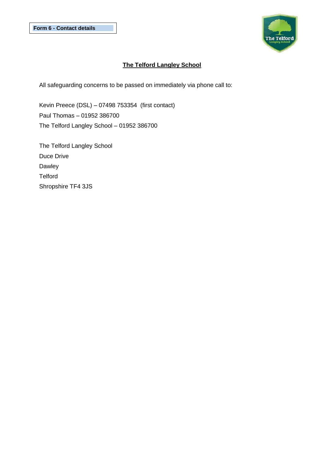

### **The Telford Langley School**

All safeguarding concerns to be passed on immediately via phone call to:

Kevin Preece (DSL) – 07498 753354 (first contact) Paul Thomas – 01952 386700 The Telford Langley School – 01952 386700

The Telford Langley School Duce Drive Dawley **Telford** Shropshire TF4 3JS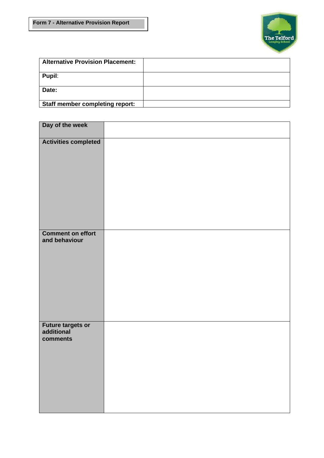

| <b>Alternative Provision Placement:</b> |  |
|-----------------------------------------|--|
| Pupil:                                  |  |
| Date:                                   |  |
| Staff member completing report:         |  |

| Day of the week                                     |  |
|-----------------------------------------------------|--|
| Activities completed                                |  |
| <b>Comment on effort</b><br>and behaviour           |  |
| <b>Future targets or<br/>additional</b><br>comments |  |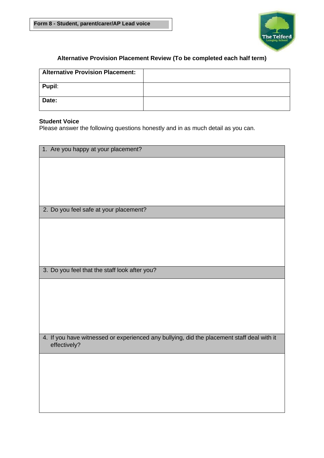

### **Alternative Provision Placement Review (To be completed each half term)**

| <b>Alternative Provision Placement:</b> |  |
|-----------------------------------------|--|
| Pupil:                                  |  |
| Date:                                   |  |

#### **Student Voice**

Please answer the following questions honestly and in as much detail as you can.

| 1. Are you happy at your placement?                                                                        |
|------------------------------------------------------------------------------------------------------------|
|                                                                                                            |
|                                                                                                            |
|                                                                                                            |
|                                                                                                            |
| 2. Do you feel safe at your placement?                                                                     |
|                                                                                                            |
|                                                                                                            |
|                                                                                                            |
|                                                                                                            |
| 3. Do you feel that the staff look after you?                                                              |
|                                                                                                            |
|                                                                                                            |
|                                                                                                            |
|                                                                                                            |
|                                                                                                            |
| 4. If you have witnessed or experienced any bullying, did the placement staff deal with it<br>effectively? |
|                                                                                                            |
|                                                                                                            |
|                                                                                                            |
|                                                                                                            |
|                                                                                                            |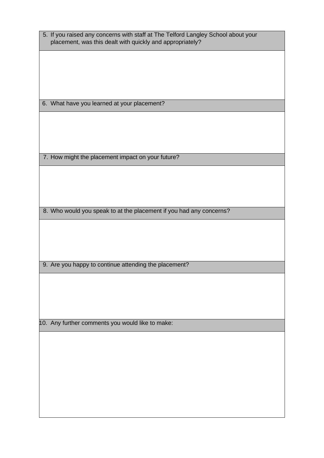| 5. If you raised any concerns with staff at The Telford Langley School about your<br>placement, was this dealt with quickly and appropriately? |  |
|------------------------------------------------------------------------------------------------------------------------------------------------|--|
|                                                                                                                                                |  |
|                                                                                                                                                |  |
| 6. What have you learned at your placement?                                                                                                    |  |
|                                                                                                                                                |  |
|                                                                                                                                                |  |
|                                                                                                                                                |  |
| 7. How might the placement impact on your future?                                                                                              |  |
|                                                                                                                                                |  |
|                                                                                                                                                |  |
| 8. Who would you speak to at the placement if you had any concerns?                                                                            |  |
|                                                                                                                                                |  |
|                                                                                                                                                |  |
|                                                                                                                                                |  |
| 9. Are you happy to continue attending the placement?                                                                                          |  |
|                                                                                                                                                |  |
|                                                                                                                                                |  |
|                                                                                                                                                |  |
| 10. Any further comments you would like to make:                                                                                               |  |
|                                                                                                                                                |  |
|                                                                                                                                                |  |
|                                                                                                                                                |  |
|                                                                                                                                                |  |
|                                                                                                                                                |  |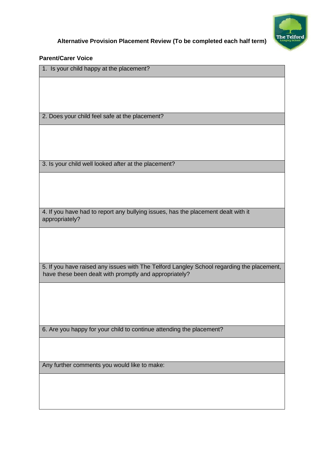

### **Parent/Carer Voice**

| 1. Is your child happy at the placement?                                                                                                            |
|-----------------------------------------------------------------------------------------------------------------------------------------------------|
|                                                                                                                                                     |
|                                                                                                                                                     |
|                                                                                                                                                     |
| 2. Does your child feel safe at the placement?                                                                                                      |
|                                                                                                                                                     |
|                                                                                                                                                     |
|                                                                                                                                                     |
| 3. Is your child well looked after at the placement?                                                                                                |
|                                                                                                                                                     |
|                                                                                                                                                     |
|                                                                                                                                                     |
| 4. If you have had to report any bullying issues, has the placement dealt with it<br>appropriately?                                                 |
|                                                                                                                                                     |
|                                                                                                                                                     |
|                                                                                                                                                     |
|                                                                                                                                                     |
| 5. If you have raised any issues with The Telford Langley School regarding the placement,<br>have these been dealt with promptly and appropriately? |
|                                                                                                                                                     |
|                                                                                                                                                     |
|                                                                                                                                                     |
|                                                                                                                                                     |
| 6. Are you happy for your child to continue attending the placement?                                                                                |
|                                                                                                                                                     |
|                                                                                                                                                     |
| Any further comments you would like to make:                                                                                                        |
|                                                                                                                                                     |
|                                                                                                                                                     |
|                                                                                                                                                     |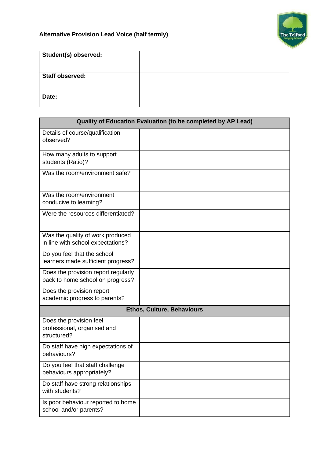

| Student(s) observed:   |  |
|------------------------|--|
|                        |  |
| <b>Staff observed:</b> |  |
|                        |  |
| Date:                  |  |
|                        |  |

| Quality of Education Evaluation (to be completed by AP Lead)            |  |  |
|-------------------------------------------------------------------------|--|--|
| Details of course/qualification<br>observed?                            |  |  |
| How many adults to support<br>students (Ratio)?                         |  |  |
| Was the room/environment safe?                                          |  |  |
| Was the room/environment<br>conducive to learning?                      |  |  |
| Were the resources differentiated?                                      |  |  |
| Was the quality of work produced<br>in line with school expectations?   |  |  |
| Do you feel that the school<br>learners made sufficient progress?       |  |  |
| Does the provision report regularly<br>back to home school on progress? |  |  |
| Does the provision report<br>academic progress to parents?              |  |  |
| <b>Ethos, Culture, Behaviours</b>                                       |  |  |
| Does the provision feel<br>professional, organised and<br>structured?   |  |  |
| Do staff have high expectations of<br>behaviours?                       |  |  |
| Do you feel that staff challenge<br>behaviours appropriately?           |  |  |
| Do staff have strong relationships<br>with students?                    |  |  |
| Is poor behaviour reported to home<br>school and/or parents?            |  |  |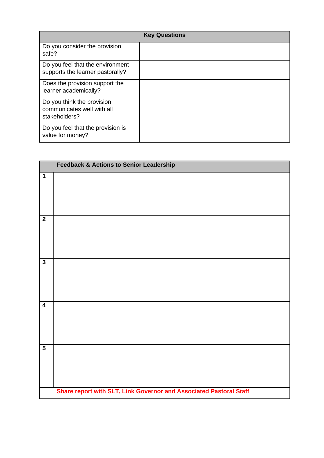| <b>Key Questions</b>                                                      |  |
|---------------------------------------------------------------------------|--|
| Do you consider the provision<br>safe?                                    |  |
| Do you feel that the environment<br>supports the learner pastorally?      |  |
| Does the provision support the<br>learner academically?                   |  |
| Do you think the provision<br>communicates well with all<br>stakeholders? |  |
| Do you feel that the provision is<br>value for money?                     |  |

|                         | <b>Feedback &amp; Actions to Senior Leadership</b>                 |  |
|-------------------------|--------------------------------------------------------------------|--|
| $\mathbf 1$             |                                                                    |  |
| $\overline{2}$          |                                                                    |  |
| $\overline{3}$          |                                                                    |  |
| $\overline{\mathbf{4}}$ |                                                                    |  |
| $\overline{\mathbf{5}}$ |                                                                    |  |
|                         | Share report with SLT, Link Governor and Associated Pastoral Staff |  |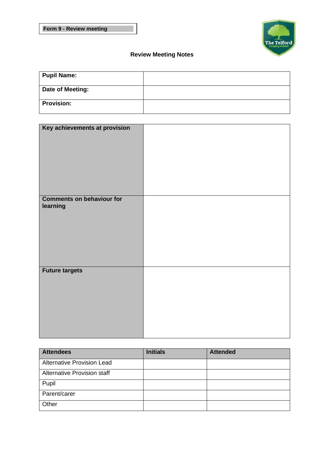

## **Review Meeting Notes**

| <b>Pupil Name:</b> |  |
|--------------------|--|
| Date of Meeting:   |  |
| <b>Provision:</b>  |  |

| Key achievements at provision    |  |
|----------------------------------|--|
| <b>Comments on behaviour for</b> |  |
| learning                         |  |
|                                  |  |
|                                  |  |
|                                  |  |
|                                  |  |
|                                  |  |
|                                  |  |
|                                  |  |
|                                  |  |
|                                  |  |
|                                  |  |
|                                  |  |
| <b>Future targets</b>            |  |
|                                  |  |
|                                  |  |
|                                  |  |
|                                  |  |
|                                  |  |
|                                  |  |
|                                  |  |
|                                  |  |
|                                  |  |
|                                  |  |
|                                  |  |
|                                  |  |

| <b>Attendees</b>                  | <b>Initials</b> | <b>Attended</b> |
|-----------------------------------|-----------------|-----------------|
| <b>Alternative Provision Lead</b> |                 |                 |
| Alternative Provision staff       |                 |                 |
| Pupil                             |                 |                 |
| Parent/carer                      |                 |                 |
| Other                             |                 |                 |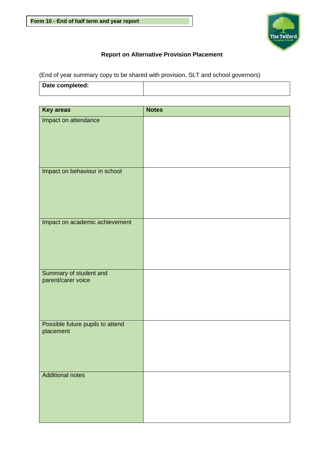

### **Report on Alternative Provision Placement**

(End of year summary copy to be shared with provision, SLT and school governors)

| Date completed: |  |
|-----------------|--|
|                 |  |

| <b>Key areas</b>                              | <b>Notes</b> |
|-----------------------------------------------|--------------|
| Impact on attendance                          |              |
| Impact on behaviour in school                 |              |
| Impact on academic achievement                |              |
| Summary of student and<br>parent/carer voice  |              |
| Possible future pupils to attend<br>placement |              |
| <b>Additional notes</b>                       |              |